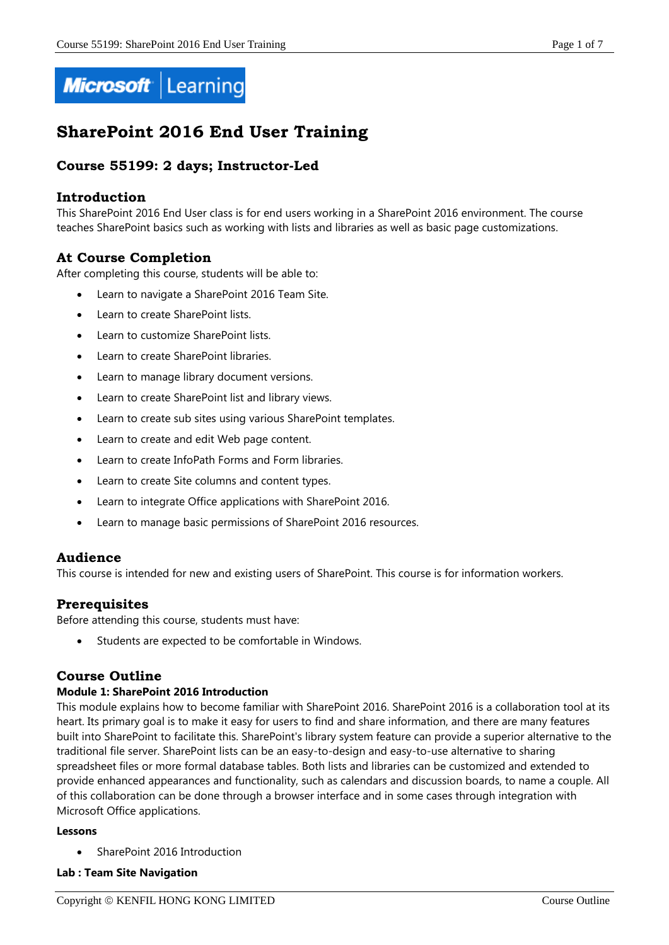

# **SharePoint 2016 End User Training**

# **Course 55199: 2 days; Instructor-Led**

## **Introduction**

This SharePoint 2016 End User class is for end users working in a SharePoint 2016 environment. The course teaches SharePoint basics such as working with lists and libraries as well as basic page customizations.

# **At Course Completion**

After completing this course, students will be able to:

- Learn to navigate a SharePoint 2016 Team Site.
- Learn to create SharePoint lists.
- Learn to customize SharePoint lists.
- Learn to create SharePoint libraries.
- Learn to manage library document versions.
- Learn to create SharePoint list and library views.
- Learn to create sub sites using various SharePoint templates.
- Learn to create and edit Web page content.
- Learn to create InfoPath Forms and Form libraries.
- Learn to create Site columns and content types.
- Learn to integrate Office applications with SharePoint 2016.
- Learn to manage basic permissions of SharePoint 2016 resources.

## **Audience**

This course is intended for new and existing users of SharePoint. This course is for information workers.

# **Prerequisites**

Before attending this course, students must have:

Students are expected to be comfortable in Windows.

# **Course Outline**

## **Module 1: SharePoint 2016 Introduction**

This module explains how to become familiar with SharePoint 2016. SharePoint 2016 is a collaboration tool at its heart. Its primary goal is to make it easy for users to find and share information, and there are many features built into SharePoint to facilitate this. SharePoint's library system feature can provide a superior alternative to the traditional file server. SharePoint lists can be an easy-to-design and easy-to-use alternative to sharing spreadsheet files or more formal database tables. Both lists and libraries can be customized and extended to provide enhanced appearances and functionality, such as calendars and discussion boards, to name a couple. All of this collaboration can be done through a browser interface and in some cases through integration with Microsoft Office applications.

#### **Lessons**

SharePoint 2016 Introduction

## **Lab : Team Site Navigation**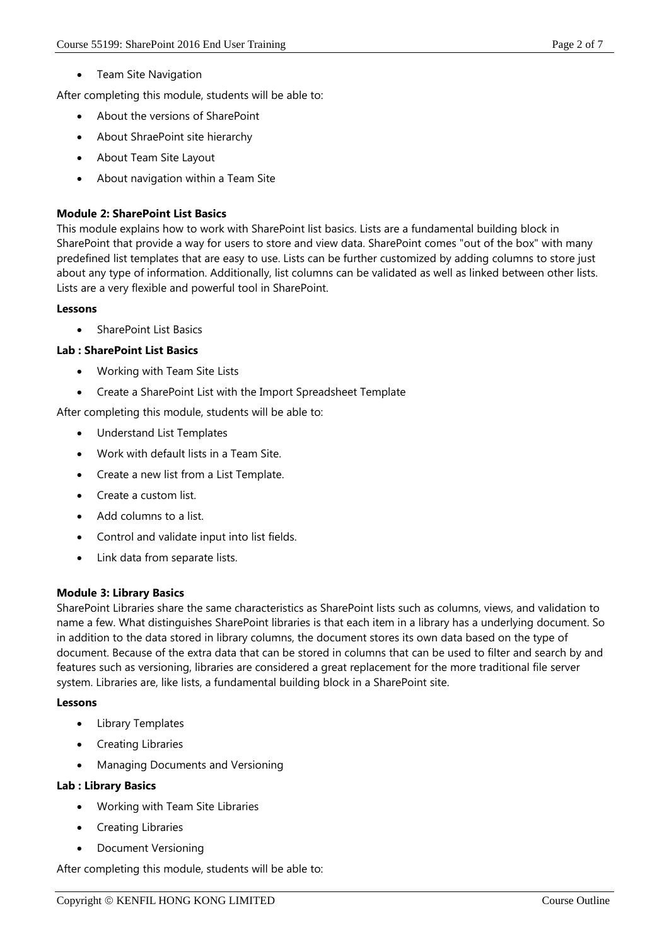Team Site Navigation

After completing this module, students will be able to:

- About the versions of SharePoint
- About ShraePoint site hierarchy
- About Team Site Layout
- About navigation within a Team Site

## **Module 2: SharePoint List Basics**

This module explains how to work with SharePoint list basics. Lists are a fundamental building block in SharePoint that provide a way for users to store and view data. SharePoint comes "out of the box" with many predefined list templates that are easy to use. Lists can be further customized by adding columns to store just about any type of information. Additionally, list columns can be validated as well as linked between other lists. Lists are a very flexible and powerful tool in SharePoint.

## **Lessons**

SharePoint List Basics

## **Lab : SharePoint List Basics**

- Working with Team Site Lists
- Create a SharePoint List with the Import Spreadsheet Template

After completing this module, students will be able to:

- Understand List Templates
- Work with default lists in a Team Site.
- Create a new list from a List Template.
- Create a custom list.
- Add columns to a list.
- Control and validate input into list fields.
- Link data from separate lists.

## **Module 3: Library Basics**

SharePoint Libraries share the same characteristics as SharePoint lists such as columns, views, and validation to name a few. What distinguishes SharePoint libraries is that each item in a library has a underlying document. So in addition to the data stored in library columns, the document stores its own data based on the type of document. Because of the extra data that can be stored in columns that can be used to filter and search by and features such as versioning, libraries are considered a great replacement for the more traditional file server system. Libraries are, like lists, a fundamental building block in a SharePoint site.

## **Lessons**

- Library Templates
- Creating Libraries
- Managing Documents and Versioning

## **Lab : Library Basics**

- Working with Team Site Libraries
- Creating Libraries
- Document Versioning

After completing this module, students will be able to: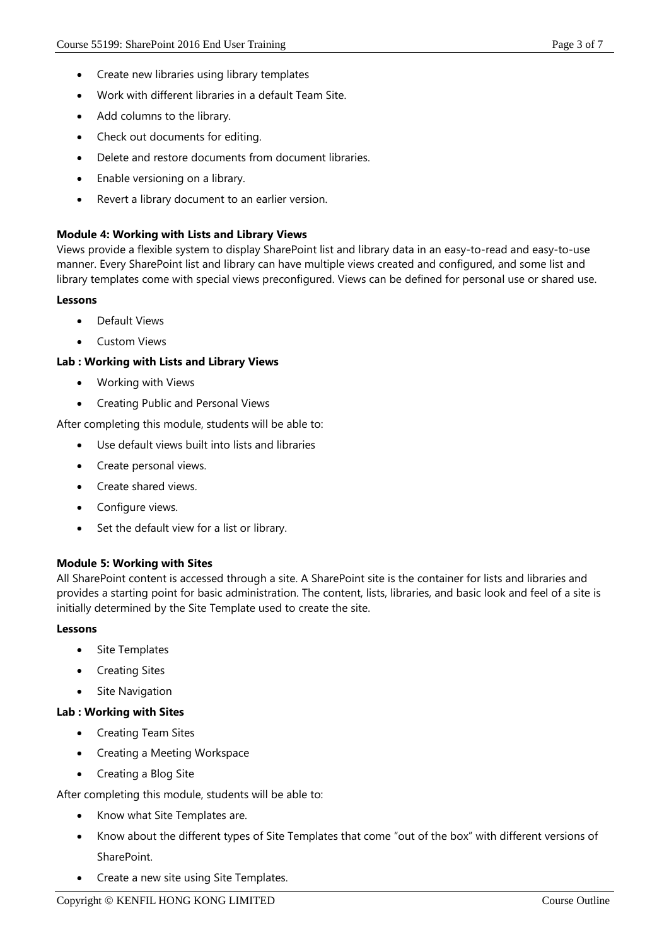- Create new libraries using library templates
- Work with different libraries in a default Team Site.
- Add columns to the library.
- Check out documents for editing.
- Delete and restore documents from document libraries.
- Enable versioning on a library.
- Revert a library document to an earlier version.

## **Module 4: Working with Lists and Library Views**

Views provide a flexible system to display SharePoint list and library data in an easy-to-read and easy-to-use manner. Every SharePoint list and library can have multiple views created and configured, and some list and library templates come with special views preconfigured. Views can be defined for personal use or shared use.

#### **Lessons**

- Default Views
- Custom Views

## **Lab : Working with Lists and Library Views**

- Working with Views
- **•** Creating Public and Personal Views

After completing this module, students will be able to:

- Use default views built into lists and libraries
- Create personal views.
- Create shared views.
- Configure views.
- Set the default view for a list or library.

## **Module 5: Working with Sites**

All SharePoint content is accessed through a site. A SharePoint site is the container for lists and libraries and provides a starting point for basic administration. The content, lists, libraries, and basic look and feel of a site is initially determined by the Site Template used to create the site.

## **Lessons**

- Site Templates
- Creating Sites
- Site Navigation

## **Lab : Working with Sites**

- Creating Team Sites
- Creating a Meeting Workspace
- Creating a Blog Site

After completing this module, students will be able to:

- Know what Site Templates are.
- Know about the different types of Site Templates that come "out of the box" with different versions of SharePoint.
- Create a new site using Site Templates.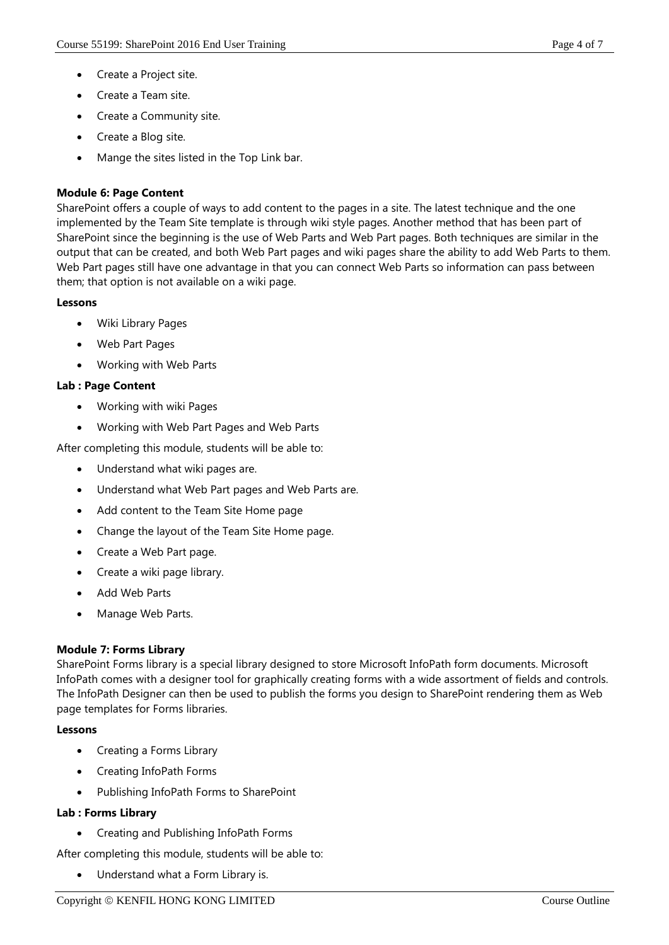- Create a Project site.
- Create a Team site.
- Create a Community site.
- Create a Blog site.
- Mange the sites listed in the Top Link bar.

# **Module 6: Page Content**

SharePoint offers a couple of ways to add content to the pages in a site. The latest technique and the one implemented by the Team Site template is through wiki style pages. Another method that has been part of SharePoint since the beginning is the use of Web Parts and Web Part pages. Both techniques are similar in the output that can be created, and both Web Part pages and wiki pages share the ability to add Web Parts to them. Web Part pages still have one advantage in that you can connect Web Parts so information can pass between them; that option is not available on a wiki page.

# **Lessons**

- Wiki Library Pages
- Web Part Pages
- Working with Web Parts

# **Lab : Page Content**

- Working with wiki Pages
- Working with Web Part Pages and Web Parts

After completing this module, students will be able to:

- Understand what wiki pages are.
- Understand what Web Part pages and Web Parts are.
- Add content to the Team Site Home page
- Change the layout of the Team Site Home page.
- Create a Web Part page.
- Create a wiki page library.
- Add Web Parts
- Manage Web Parts.

# **Module 7: Forms Library**

SharePoint Forms library is a special library designed to store Microsoft InfoPath form documents. Microsoft InfoPath comes with a designer tool for graphically creating forms with a wide assortment of fields and controls. The InfoPath Designer can then be used to publish the forms you design to SharePoint rendering them as Web page templates for Forms libraries.

# **Lessons**

- Creating a Forms Library
- Creating InfoPath Forms
- Publishing InfoPath Forms to SharePoint

# **Lab : Forms Library**

Creating and Publishing InfoPath Forms

After completing this module, students will be able to:

Understand what a Form Library is.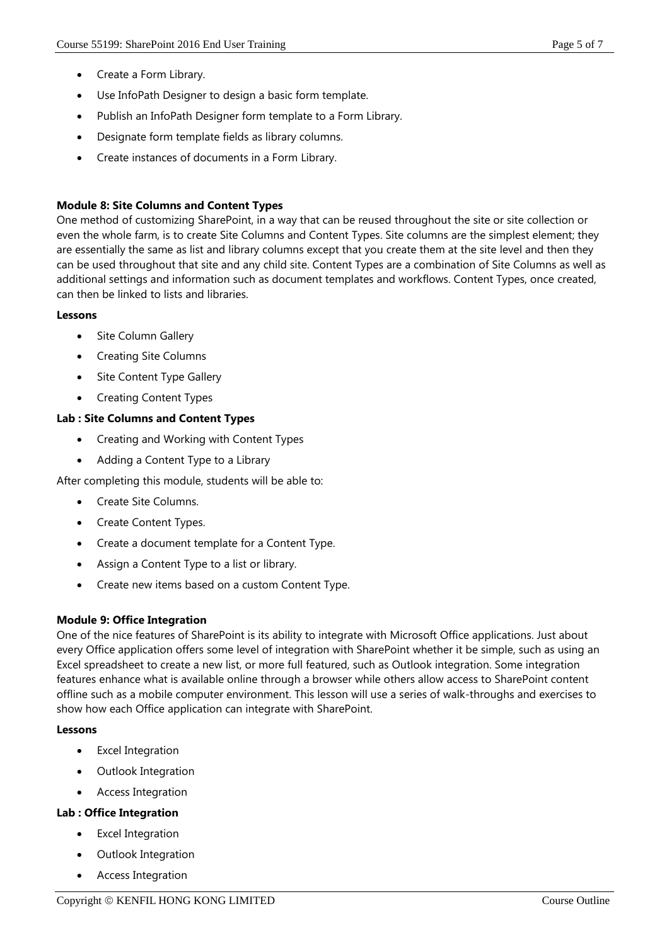- Create a Form Library.
- Use InfoPath Designer to design a basic form template.
- Publish an InfoPath Designer form template to a Form Library.
- Designate form template fields as library columns.
- Create instances of documents in a Form Library.

## **Module 8: Site Columns and Content Types**

One method of customizing SharePoint, in a way that can be reused throughout the site or site collection or even the whole farm, is to create Site Columns and Content Types. Site columns are the simplest element; they are essentially the same as list and library columns except that you create them at the site level and then they can be used throughout that site and any child site. Content Types are a combination of Site Columns as well as additional settings and information such as document templates and workflows. Content Types, once created, can then be linked to lists and libraries.

## **Lessons**

- Site Column Gallery
- Creating Site Columns
- Site Content Type Gallery
- Creating Content Types

## **Lab : Site Columns and Content Types**

- Creating and Working with Content Types
- Adding a Content Type to a Library

After completing this module, students will be able to:

- Create Site Columns.
- Create Content Types.
- Create a document template for a Content Type.
- Assign a Content Type to a list or library.
- Create new items based on a custom Content Type.

## **Module 9: Office Integration**

One of the nice features of SharePoint is its ability to integrate with Microsoft Office applications. Just about every Office application offers some level of integration with SharePoint whether it be simple, such as using an Excel spreadsheet to create a new list, or more full featured, such as Outlook integration. Some integration features enhance what is available online through a browser while others allow access to SharePoint content offline such as a mobile computer environment. This lesson will use a series of walk-throughs and exercises to show how each Office application can integrate with SharePoint.

## **Lessons**

- Excel Integration
- Outlook Integration
- Access Integration

## **Lab : Office Integration**

- Excel Integration
- Outlook Integration
- Access Integration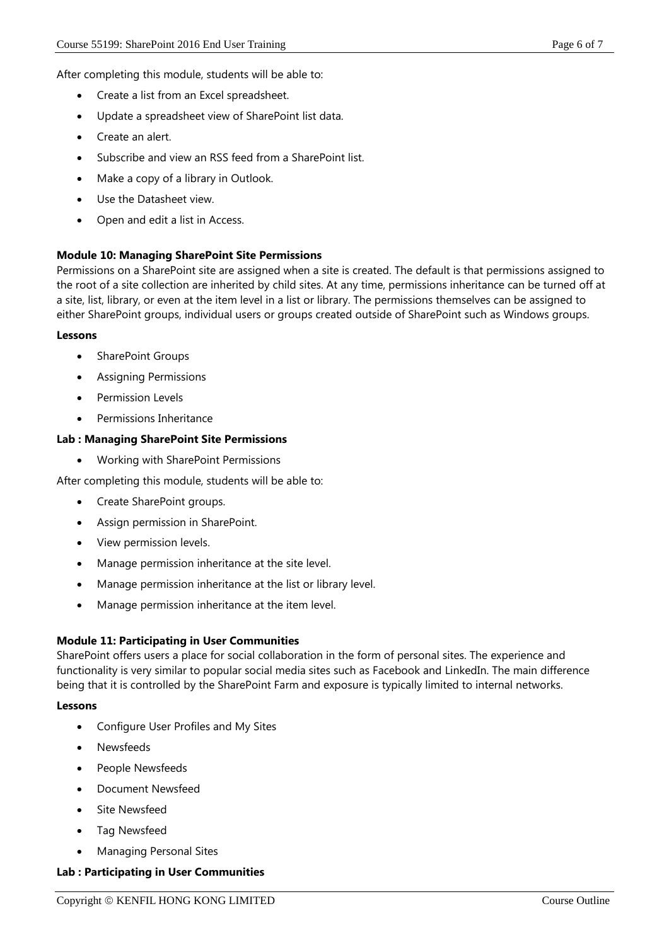After completing this module, students will be able to:

- Create a list from an Excel spreadsheet.
- Update a spreadsheet view of SharePoint list data.
- Create an alert.
- Subscribe and view an RSS feed from a SharePoint list.
- Make a copy of a library in Outlook.
- Use the Datasheet view.
- Open and edit a list in Access.

#### **Module 10: Managing SharePoint Site Permissions**

Permissions on a SharePoint site are assigned when a site is created. The default is that permissions assigned to the root of a site collection are inherited by child sites. At any time, permissions inheritance can be turned off at a site, list, library, or even at the item level in a list or library. The permissions themselves can be assigned to either SharePoint groups, individual users or groups created outside of SharePoint such as Windows groups.

#### **Lessons**

- SharePoint Groups
- Assigning Permissions
- Permission Levels
- Permissions Inheritance

#### **Lab : Managing SharePoint Site Permissions**

Working with SharePoint Permissions

After completing this module, students will be able to:

- Create SharePoint groups.
- Assign permission in SharePoint.
- View permission levels.
- Manage permission inheritance at the site level.
- Manage permission inheritance at the list or library level.
- Manage permission inheritance at the item level.

## **Module 11: Participating in User Communities**

SharePoint offers users a place for social collaboration in the form of personal sites. The experience and functionality is very similar to popular social media sites such as Facebook and LinkedIn. The main difference being that it is controlled by the SharePoint Farm and exposure is typically limited to internal networks.

#### **Lessons**

- Configure User Profiles and My Sites
- Newsfeeds
- People Newsfeeds
- Document Newsfeed
- Site Newsfeed
- Tag Newsfeed
- Managing Personal Sites

#### **Lab : Participating in User Communities**